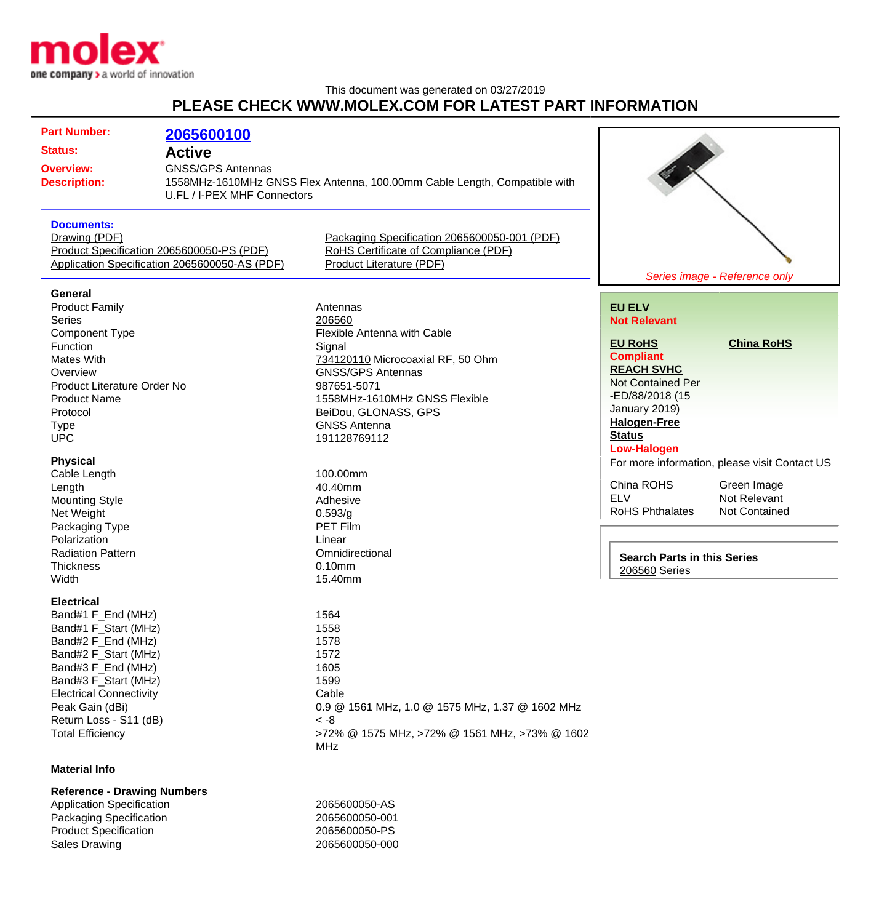

## This document was generated on 03/27/2019 **PLEASE CHECK WWW.MOLEX.COM FOR LATEST PART INFORMATION**

| <b>Part Number:</b>                           | 2065600100               |                                                                           |                                               |                             |
|-----------------------------------------------|--------------------------|---------------------------------------------------------------------------|-----------------------------------------------|-----------------------------|
|                                               |                          |                                                                           |                                               |                             |
| <b>Status:</b>                                | <b>Active</b>            |                                                                           |                                               |                             |
| <b>Overview:</b>                              | <b>GNSS/GPS Antennas</b> |                                                                           |                                               |                             |
| <b>Description:</b>                           |                          | 1558MHz-1610MHz GNSS Flex Antenna, 100.00mm Cable Length, Compatible with |                                               |                             |
| U.FL / I-PEX MHF Connectors                   |                          |                                                                           |                                               |                             |
|                                               |                          |                                                                           |                                               |                             |
| <b>Documents:</b>                             |                          |                                                                           |                                               |                             |
| Drawing (PDF)                                 |                          | Packaging Specification 2065600050-001 (PDF)                              |                                               |                             |
| Product Specification 2065600050-PS (PDF)     |                          | RoHS Certificate of Compliance (PDF)                                      |                                               |                             |
| Application Specification 2065600050-AS (PDF) |                          | <b>Product Literature (PDF)</b>                                           |                                               |                             |
|                                               |                          | Series image - Reference only                                             |                                               |                             |
| General                                       |                          |                                                                           |                                               |                             |
| <b>Product Family</b>                         |                          | Antennas                                                                  | <b>EU ELV</b>                                 |                             |
| <b>Series</b>                                 |                          | 206560                                                                    | <b>Not Relevant</b>                           |                             |
| Component Type                                |                          | Flexible Antenna with Cable                                               |                                               |                             |
| Function                                      |                          | Signal                                                                    | <b>EU RoHS</b>                                | <b>China RoHS</b>           |
| Mates With                                    |                          | 734120110 Microcoaxial RF, 50 Ohm                                         | <b>Compliant</b>                              |                             |
| Overview                                      |                          | <b>GNSS/GPS Antennas</b>                                                  | <b>REACH SVHC</b>                             |                             |
| Product Literature Order No                   |                          | 987651-5071                                                               | <b>Not Contained Per</b>                      |                             |
| <b>Product Name</b>                           |                          | 1558MHz-1610MHz GNSS Flexible                                             | -ED/88/2018 (15                               |                             |
| Protocol                                      |                          | BeiDou, GLONASS, GPS                                                      | January 2019)                                 |                             |
| <b>Type</b>                                   |                          | <b>GNSS Antenna</b>                                                       | <b>Halogen-Free</b>                           |                             |
| <b>UPC</b>                                    |                          | 191128769112                                                              | <b>Status</b>                                 |                             |
|                                               |                          |                                                                           | <b>Low-Halogen</b>                            |                             |
| <b>Physical</b>                               |                          |                                                                           | For more information, please visit Contact US |                             |
| Cable Length                                  |                          | 100.00mm                                                                  | China ROHS                                    |                             |
| Length                                        |                          | 40.40mm                                                                   | <b>ELV</b>                                    | Green Image<br>Not Relevant |
| <b>Mounting Style</b>                         |                          | Adhesive                                                                  | <b>RoHS Phthalates</b>                        | <b>Not Contained</b>        |
| Net Weight                                    |                          | 0.593/g                                                                   |                                               |                             |
| Packaging Type                                |                          | <b>PET Film</b>                                                           |                                               |                             |
| Polarization                                  |                          | Linear                                                                    |                                               |                             |
| <b>Radiation Pattern</b>                      |                          | Omnidirectional                                                           | <b>Search Parts in this Series</b>            |                             |
| Thickness                                     |                          | $0.10$ mm                                                                 | 206560 Series                                 |                             |
| Width                                         |                          | 15.40mm                                                                   |                                               |                             |
| <b>Electrical</b>                             |                          |                                                                           |                                               |                             |
| Band#1 F_End (MHz)                            |                          | 1564                                                                      |                                               |                             |
| Band#1 F_Start (MHz)                          |                          | 1558                                                                      |                                               |                             |
| Band#2 F_End (MHz)                            |                          | 1578                                                                      |                                               |                             |
| Band#2 F_Start (MHz)                          |                          | 1572                                                                      |                                               |                             |
| Band#3 F_End (MHz)                            |                          | 1605                                                                      |                                               |                             |
| Band#3 F_Start (MHz)                          |                          | 1599                                                                      |                                               |                             |
| <b>Electrical Connectivity</b>                |                          | Cable                                                                     |                                               |                             |
| Peak Gain (dBi)                               |                          | 0.9 @ 1561 MHz, 1.0 @ 1575 MHz, 1.37 @ 1602 MHz                           |                                               |                             |
| Return Loss - S11 (dB)                        |                          | $~<$ -8                                                                   |                                               |                             |
| <b>Total Efficiency</b>                       |                          | >72% @ 1575 MHz, >72% @ 1561 MHz, >73% @ 1602                             |                                               |                             |
|                                               |                          | <b>MHz</b>                                                                |                                               |                             |
| <b>Material Info</b>                          |                          |                                                                           |                                               |                             |
| <b>Reference - Drawing Numbers</b>            |                          |                                                                           |                                               |                             |
| <b>Application Specification</b>              |                          | 2065600050-AS                                                             |                                               |                             |
| Packaging Specification                       |                          | 2065600050-001                                                            |                                               |                             |
| <b>Product Specification</b>                  |                          | 2065600050-PS                                                             |                                               |                             |

Sales Drawing 2065600050-000